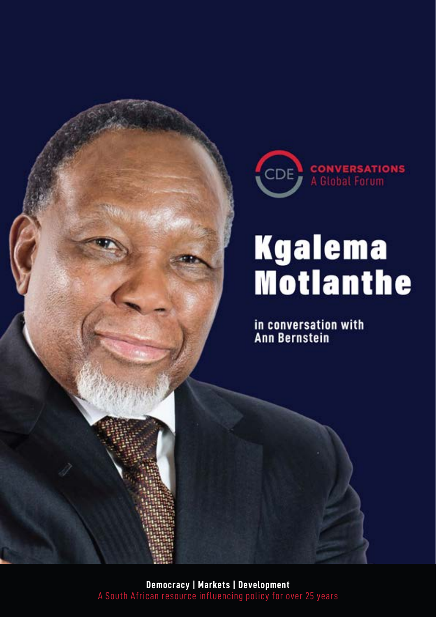

# **Kgalema**<br>Motlanthe

in conversation with<br>Ann Bernstein

A South African resource influencing policy for over 25 years **Democracy | Markets | Development**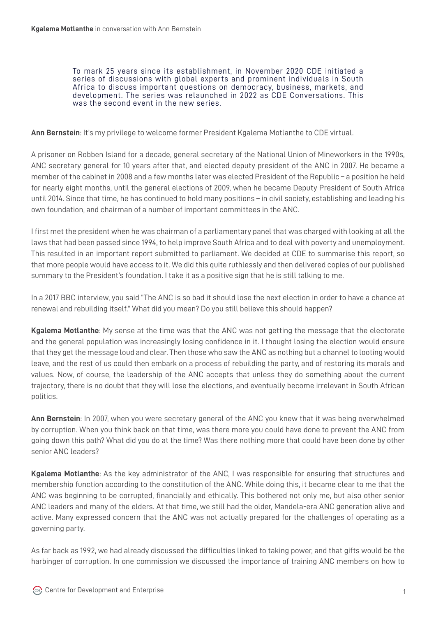To mark 25 years since its establishment, in November 2020 CDE initiated a series of discussions with global experts and prominent individuals in South Africa to discuss important questions on democracy, business, markets, and development. The series was relaunched in 2022 as CDE Conversations. This was the second event in the new series.

**Ann Bernstein**: It's my privilege to welcome former President Kgalema Motlanthe to CDE virtual.

A prisoner on Robben Island for a decade, general secretary of the National Union of Mineworkers in the 1990s, ANC secretary general for 10 years after that, and elected deputy president of the ANC in 2007. He became a member of the cabinet in 2008 and a few months later was elected President of the Republic – a position he held for nearly eight months, until the general elections of 2009, when he became Deputy President of South Africa until 2014. Since that time, he has continued to hold many positions – in civil society, establishing and leading his own foundation, and chairman of a number of important committees in the ANC.

I first met the president when he was chairman of a parliamentary panel that was charged with looking at all the laws that had been passed since 1994, to help improve South Africa and to deal with poverty and unemployment. This resulted in an important report submitted to parliament. We decided at CDE to summarise this report, so that more people would have access to it. We did this quite ruthlessly and then delivered copies of our published summary to the President's foundation. I take it as a positive sign that he is still talking to me.

In a 2017 BBC interview, you said "The ANC is so bad it should lose the next election in order to have a chance at renewal and rebuilding itself." What did you mean? Do you still believe this should happen?

**Kgalema Motlanthe**: My sense at the time was that the ANC was not getting the message that the electorate and the general population was increasingly losing confidence in it. I thought losing the election would ensure that they get the message loud and clear. Then those who saw the ANC as nothing but a channel to looting would leave, and the rest of us could then embark on a process of rebuilding the party, and of restoring its morals and values. Now, of course, the leadership of the ANC accepts that unless they do something about the current trajectory, there is no doubt that they will lose the elections, and eventually become irrelevant in South African politics.

**Ann Bernstein**: In 2007, when you were secretary general of the ANC you knew that it was being overwhelmed by corruption. When you think back on that time, was there more you could have done to prevent the ANC from going down this path? What did you do at the time? Was there nothing more that could have been done by other senior ANC leaders?

**Kgalema Motlanthe**: As the key administrator of the ANC, I was responsible for ensuring that structures and membership function according to the constitution of the ANC. While doing this, it became clear to me that the ANC was beginning to be corrupted, financially and ethically. This bothered not only me, but also other senior ANC leaders and many of the elders. At that time, we still had the older, Mandela-era ANC generation alive and active. Many expressed concern that the ANC was not actually prepared for the challenges of operating as a governing party.

As far back as 1992, we had already discussed the difficulties linked to taking power, and that gifts would be the harbinger of corruption. In one commission we discussed the importance of training ANC members on how to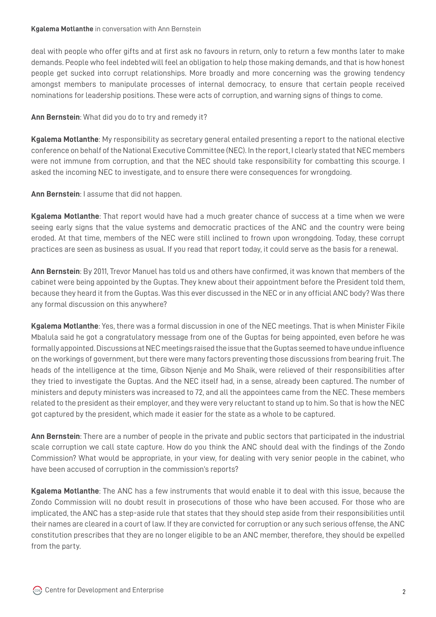deal with people who offer gifts and at first ask no favours in return, only to return a few months later to make demands. People who feel indebted will feel an obligation to help those making demands, and that is how honest people get sucked into corrupt relationships. More broadly and more concerning was the growing tendency amongst members to manipulate processes of internal democracy, to ensure that certain people received nominations for leadership positions. These were acts of corruption, and warning signs of things to come.

# **Ann Bernstein**: What did you do to try and remedy it?

**Kgalema Motlanthe**: My responsibility as secretary general entailed presenting a report to the national elective conference on behalf of the National Executive Committee (NEC). In the report, I clearly stated that NEC members were not immune from corruption, and that the NEC should take responsibility for combatting this scourge. I asked the incoming NEC to investigate, and to ensure there were consequences for wrongdoing.

**Ann Bernstein**: I assume that did not happen.

**Kgalema Motlanthe**: That report would have had a much greater chance of success at a time when we were seeing early signs that the value systems and democratic practices of the ANC and the country were being eroded. At that time, members of the NEC were still inclined to frown upon wrongdoing. Today, these corrupt practices are seen as business as usual. If you read that report today, it could serve as the basis for a renewal.

**Ann Bernstein**: By 2011, Trevor Manuel has told us and others have confirmed, it was known that members of the cabinet were being appointed by the Guptas. They knew about their appointment before the President told them, because they heard it from the Guptas. Was this ever discussed in the NEC or in any official ANC body? Was there any formal discussion on this anywhere?

**Kgalema Motlanthe**: Yes, there was a formal discussion in one of the NEC meetings. That is when Minister Fikile Mbalula said he got a congratulatory message from one of the Guptas for being appointed, even before he was formally appointed. Discussions at NEC meetings raised the issue that the Guptas seemed to have undue influence on the workings of government, but there were many factors preventing those discussions from bearing fruit. The heads of the intelligence at the time, Gibson Njenje and Mo Shaik, were relieved of their responsibilities after they tried to investigate the Guptas. And the NEC itself had, in a sense, already been captured. The number of ministers and deputy ministers was increased to 72, and all the appointees came from the NEC. These members related to the president as their employer, and they were very reluctant to stand up to him. So that is how the NEC got captured by the president, which made it easier for the state as a whole to be captured.

**Ann Bernstein**: There are a number of people in the private and public sectors that participated in the industrial scale corruption we call state capture. How do you think the ANC should deal with the findings of the Zondo Commission? What would be appropriate, in your view, for dealing with very senior people in the cabinet, who have been accused of corruption in the commission's reports?

**Kgalema Motlanthe**: The ANC has a few instruments that would enable it to deal with this issue, because the Zondo Commission will no doubt result in prosecutions of those who have been accused. For those who are implicated, the ANC has a step-aside rule that states that they should step aside from their responsibilities until their names are cleared in a court of law. If they are convicted for corruption or any such serious offense, the ANC constitution prescribes that they are no longer eligible to be an ANC member, therefore, they should be expelled from the party.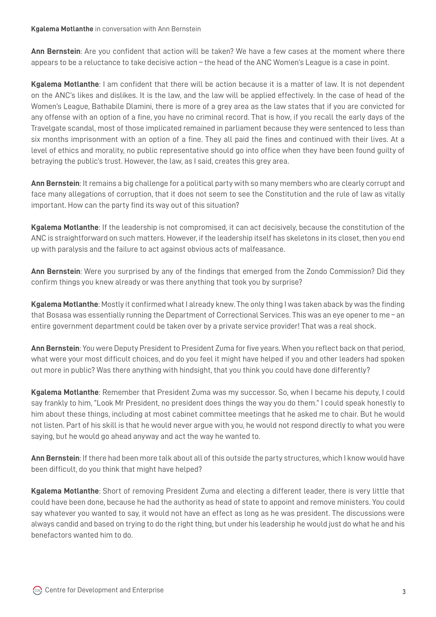**Ann Bernstein**: Are you confident that action will be taken? We have a few cases at the moment where there appears to be a reluctance to take decisive action – the head of the ANC Women's League is a case in point.

**Kgalema Motlanthe**: I am confident that there will be action because it is a matter of law. It is not dependent on the ANC's likes and dislikes. It is the law, and the law will be applied effectively. In the case of head of the Women's League, Bathabile Dlamini, there is more of a grey area as the law states that if you are convicted for any offense with an option of a fine, you have no criminal record. That is how, if you recall the early days of the Travelgate scandal, most of those implicated remained in parliament because they were sentenced to less than six months imprisonment with an option of a fine. They all paid the fines and continued with their lives. At a level of ethics and morality, no public representative should go into office when they have been found guilty of betraying the public's trust. However, the law, as I said, creates this grey area.

**Ann Bernstein**: It remains a big challenge for a political party with so many members who are clearly corrupt and face many allegations of corruption, that it does not seem to see the Constitution and the rule of law as vitally important. How can the party find its way out of this situation?

**Kgalema Motlanthe**: If the leadership is not compromised, it can act decisively, because the constitution of the ANC is straightforward on such matters. However, if the leadership itself has skeletons in its closet, then you end up with paralysis and the failure to act against obvious acts of malfeasance.

**Ann Bernstein**: Were you surprised by any of the findings that emerged from the Zondo Commission? Did they confirm things you knew already or was there anything that took you by surprise?

**Kgalema Motlanthe**: Mostly it confirmed what I already knew. The only thing I was taken aback by was the finding that Bosasa was essentially running the Department of Correctional Services. This was an eye opener to me – an entire government department could be taken over by a private service provider! That was a real shock.

**Ann Bernstein**: You were Deputy President to President Zuma for five years. When you reflect back on that period, what were your most difficult choices, and do you feel it might have helped if you and other leaders had spoken out more in public? Was there anything with hindsight, that you think you could have done differently?

**Kgalema Motlanthe**: Remember that President Zuma was my successor. So, when I became his deputy, I could say frankly to him, "Look Mr President, no president does things the way you do them." I could speak honestly to him about these things, including at most cabinet committee meetings that he asked me to chair. But he would not listen. Part of his skill is that he would never argue with you, he would not respond directly to what you were saying, but he would go ahead anyway and act the way he wanted to.

**Ann Bernstein**: If there had been more talk about all of this outside the party structures, which I know would have been difficult, do you think that might have helped?

**Kgalema Motlanthe**: Short of removing President Zuma and electing a different leader, there is very little that could have been done, because he had the authority as head of state to appoint and remove ministers. You could say whatever you wanted to say, it would not have an effect as long as he was president. The discussions were always candid and based on trying to do the right thing, but under his leadership he would just do what he and his benefactors wanted him to do.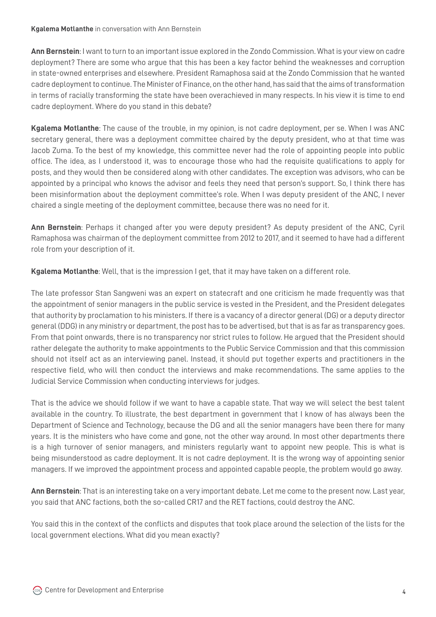**Ann Bernstein**: I want to turn to an important issue explored in the Zondo Commission. What is your view on cadre deployment? There are some who argue that this has been a key factor behind the weaknesses and corruption in state-owned enterprises and elsewhere. President Ramaphosa said at the Zondo Commission that he wanted cadre deployment to continue. The Minister of Finance, on the other hand, has said that the aims of transformation in terms of racially transforming the state have been overachieved in many respects. In his view it is time to end cadre deployment. Where do you stand in this debate?

**Kgalema Motlanthe**: The cause of the trouble, in my opinion, is not cadre deployment, per se. When I was ANC secretary general, there was a deployment committee chaired by the deputy president, who at that time was Jacob Zuma. To the best of my knowledge, this committee never had the role of appointing people into public office. The idea, as I understood it, was to encourage those who had the requisite qualifications to apply for posts, and they would then be considered along with other candidates. The exception was advisors, who can be appointed by a principal who knows the advisor and feels they need that person's support. So, I think there has been misinformation about the deployment committee's role. When I was deputy president of the ANC, I never chaired a single meeting of the deployment committee, because there was no need for it.

**Ann Bernstein**: Perhaps it changed after you were deputy president? As deputy president of the ANC, Cyril Ramaphosa was chairman of the deployment committee from 2012 to 2017, and it seemed to have had a different role from your description of it.

**Kgalema Motlanthe**: Well, that is the impression I get, that it may have taken on a different role.

The late professor Stan Sangweni was an expert on statecraft and one criticism he made frequently was that the appointment of senior managers in the public service is vested in the President, and the President delegates that authority by proclamation to his ministers. If there is a vacancy of a director general (DG) or a deputy director general (DDG) in any ministry or department, the post has to be advertised, but that is as far as transparency goes. From that point onwards, there is no transparency nor strict rules to follow. He argued that the President should rather delegate the authority to make appointments to the Public Service Commission and that this commission should not itself act as an interviewing panel. Instead, it should put together experts and practitioners in the respective field, who will then conduct the interviews and make recommendations. The same applies to the Judicial Service Commission when conducting interviews for judges.

That is the advice we should follow if we want to have a capable state. That way we will select the best talent available in the country. To illustrate, the best department in government that I know of has always been the Department of Science and Technology, because the DG and all the senior managers have been there for many years. It is the ministers who have come and gone, not the other way around. In most other departments there is a high turnover of senior managers, and ministers regularly want to appoint new people. This is what is being misunderstood as cadre deployment. It is not cadre deployment. It is the wrong way of appointing senior managers. If we improved the appointment process and appointed capable people, the problem would go away.

**Ann Bernstein**: That is an interesting take on a very important debate. Let me come to the present now. Last year, you said that ANC factions, both the so-called CR17 and the RET factions, could destroy the ANC.

You said this in the context of the conflicts and disputes that took place around the selection of the lists for the local government elections. What did you mean exactly?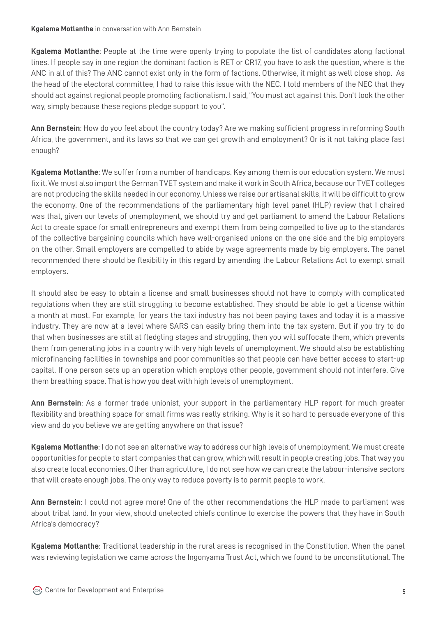**Kgalema Motlanthe**: People at the time were openly trying to populate the list of candidates along factional lines. If people say in one region the dominant faction is RET or CR17, you have to ask the question, where is the ANC in all of this? The ANC cannot exist only in the form of factions. Otherwise, it might as well close shop. As the head of the electoral committee, I had to raise this issue with the NEC. I told members of the NEC that they should act against regional people promoting factionalism. I said, "You must act against this. Don't look the other way, simply because these regions pledge support to you".

**Ann Bernstein**: How do you feel about the country today? Are we making sufficient progress in reforming South Africa, the government, and its laws so that we can get growth and employment? Or is it not taking place fast enough?

**Kgalema Motlanthe**: We suffer from a number of handicaps. Key among them is our education system. We must fix it. We must also import the German TVET system and make it work in South Africa, because our TVET colleges are not producing the skills needed in our economy. Unless we raise our artisanal skills, it will be difficult to grow the economy. One of the recommendations of the parliamentary high level panel (HLP) review that I chaired was that, given our levels of unemployment, we should try and get parliament to amend the Labour Relations Act to create space for small entrepreneurs and exempt them from being compelled to live up to the standards of the collective bargaining councils which have well-organised unions on the one side and the big employers on the other. Small employers are compelled to abide by wage agreements made by big employers. The panel recommended there should be flexibility in this regard by amending the Labour Relations Act to exempt small employers.

It should also be easy to obtain a license and small businesses should not have to comply with complicated regulations when they are still struggling to become established. They should be able to get a license within a month at most. For example, for years the taxi industry has not been paying taxes and today it is a massive industry. They are now at a level where SARS can easily bring them into the tax system. But if you try to do that when businesses are still at fledgling stages and struggling, then you will suffocate them, which prevents them from generating jobs in a country with very high levels of unemployment. We should also be establishing microfinancing facilities in townships and poor communities so that people can have better access to start-up capital. If one person sets up an operation which employs other people, government should not interfere. Give them breathing space. That is how you deal with high levels of unemployment.

**Ann Bernstein**: As a former trade unionist, your support in the parliamentary HLP report for much greater flexibility and breathing space for small firms was really striking. Why is it so hard to persuade everyone of this view and do you believe we are getting anywhere on that issue?

**Kgalema Motlanthe**: I do not see an alternative way to address our high levels of unemployment. We must create opportunities for people to start companies that can grow, which will result in people creating jobs. That way you also create local economies. Other than agriculture, I do not see how we can create the labour-intensive sectors that will create enough jobs. The only way to reduce poverty is to permit people to work.

**Ann Bernstein**: I could not agree more! One of the other recommendations the HLP made to parliament was about tribal land. In your view, should unelected chiefs continue to exercise the powers that they have in South Africa's democracy?

**Kgalema Motlanthe**: Traditional leadership in the rural areas is recognised in the Constitution. When the panel was reviewing legislation we came across the Ingonyama Trust Act, which we found to be unconstitutional. The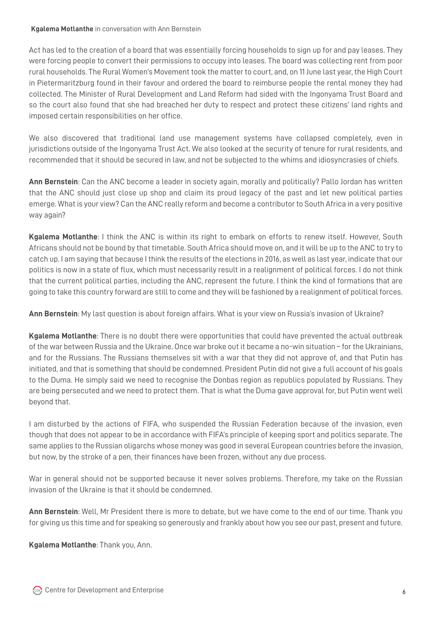Act has led to the creation of a board that was essentially forcing households to sign up for and pay leases. They were forcing people to convert their permissions to occupy into leases. The board was collecting rent from poor rural households. The Rural Women's Movement took the matter to court, and, on 11 June last year, the High Court in Pietermaritzburg found in their favour and ordered the board to reimburse people the rental money they had collected. The Minister of Rural Development and Land Reform had sided with the Ingonyama Trust Board and so the court also found that she had breached her duty to respect and protect these citizens' land rights and imposed certain responsibilities on her office.

We also discovered that traditional land use management systems have collapsed completely, even in jurisdictions outside of the Ingonyama Trust Act. We also looked at the security of tenure for rural residents, and recommended that it should be secured in law, and not be subjected to the whims and idiosyncrasies of chiefs.

**Ann Bernstein**: Can the ANC become a leader in society again, morally and politically? Pallo Jordan has written that the ANC should just close up shop and claim its proud legacy of the past and let new political parties emerge. What is your view? Can the ANC really reform and become a contributor to South Africa in a very positive way again?

**Kgalema Motlanthe**: I think the ANC is within its right to embark on efforts to renew itself. However, South Africans should not be bound by that timetable. South Africa should move on, and it will be up to the ANC to try to catch up. I am saying that because I think the results of the elections in 2016, as well as last year, indicate that our politics is now in a state of flux, which must necessarily result in a realignment of political forces. I do not think that the current political parties, including the ANC, represent the future. I think the kind of formations that are going to take this country forward are still to come and they will be fashioned by a realignment of political forces.

**Ann Bernstein**: My last question is about foreign affairs. What is your view on Russia's invasion of Ukraine?

**Kgalema Motlanthe**: There is no doubt there were opportunities that could have prevented the actual outbreak of the war between Russia and the Ukraine. Once war broke out it became a no-win situation – for the Ukrainians, and for the Russians. The Russians themselves sit with a war that they did not approve of, and that Putin has initiated, and that is something that should be condemned. President Putin did not give a full account of his goals to the Duma. He simply said we need to recognise the Donbas region as republics populated by Russians. They are being persecuted and we need to protect them. That is what the Duma gave approval for, but Putin went well beyond that.

I am disturbed by the actions of FIFA, who suspended the Russian Federation because of the invasion, even though that does not appear to be in accordance with FIFA's principle of keeping sport and politics separate. The same applies to the Russian oligarchs whose money was good in several European countries before the invasion, but now, by the stroke of a pen, their finances have been frozen, without any due process.

War in general should not be supported because it never solves problems. Therefore, my take on the Russian invasion of the Ukraine is that it should be condemned.

**Ann Bernstein**: Well, Mr President there is more to debate, but we have come to the end of our time. Thank you for giving us this time and for speaking so generously and frankly about how you see our past, present and future.

**Kgalema Motlanthe**: Thank you, Ann.